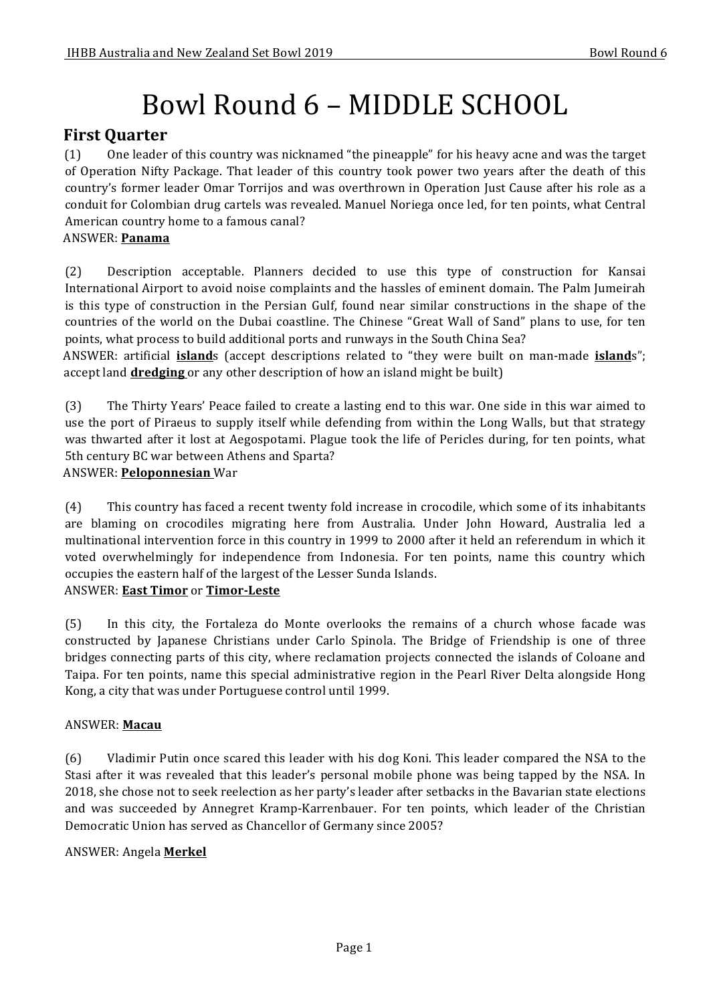# Bowl Round 6 – MIDDLE SCHOOL

# **First Quarter**

(1) One leader of this country was nicknamed "the pineapple" for his heavy acne and was the target of Operation Nifty Package. That leader of this country took power two years after the death of this country's former leader Omar Torrijos and was overthrown in Operation Just Cause after his role as a conduit for Colombian drug cartels was revealed. Manuel Noriega once led, for ten points, what Central American country home to a famous canal?

### ANSWER: **Panama**

(2) Description acceptable. Planners decided to use this type of construction for Kansai International Airport to avoid noise complaints and the hassles of eminent domain. The Palm Jumeirah is this type of construction in the Persian Gulf, found near similar constructions in the shape of the countries of the world on the Dubai coastline. The Chinese "Great Wall of Sand" plans to use, for ten points, what process to build additional ports and runways in the South China Sea?

ANSWER: artificial **island**s (accept descriptions related to "they were built on man-made *islands*"; accept land **dredging** or any other description of how an island might be built)

(3) The Thirty Years' Peace failed to create a lasting end to this war. One side in this war aimed to use the port of Piraeus to supply itself while defending from within the Long Walls, but that strategy was thwarted after it lost at Aegospotami. Plague took the life of Pericles during, for ten points, what 5th century BC war between Athens and Sparta?

# ANSWER: **Peloponnesian** War

(4) This country has faced a recent twenty fold increase in crocodile, which some of its inhabitants are blaming on crocodiles migrating here from Australia. Under John Howard, Australia led a multinational intervention force in this country in 1999 to 2000 after it held an referendum in which it voted overwhelmingly for independence from Indonesia. For ten points, name this country which occupies the eastern half of the largest of the Lesser Sunda Islands. ANSWER: **East Timor** or **Timor-Leste** 

(5) In this city, the Fortaleza do Monte overlooks the remains of a church whose facade was constructed by Japanese Christians under Carlo Spinola. The Bridge of Friendship is one of three bridges connecting parts of this city, where reclamation projects connected the islands of Coloane and Taipa. For ten points, name this special administrative region in the Pearl River Delta alongside Hong Kong, a city that was under Portuguese control until 1999.

# ANSWER: **Macau**

(6) Vladimir Putin once scared this leader with his dog Koni. This leader compared the NSA to the Stasi after it was revealed that this leader's personal mobile phone was being tapped by the NSA. In 2018, she chose not to seek reelection as her party's leader after setbacks in the Bavarian state elections and was succeeded by Annegret Kramp-Karrenbauer. For ten points, which leader of the Christian Democratic Union has served as Chancellor of Germany since 2005?

# ANSWER: Angela **Merkel**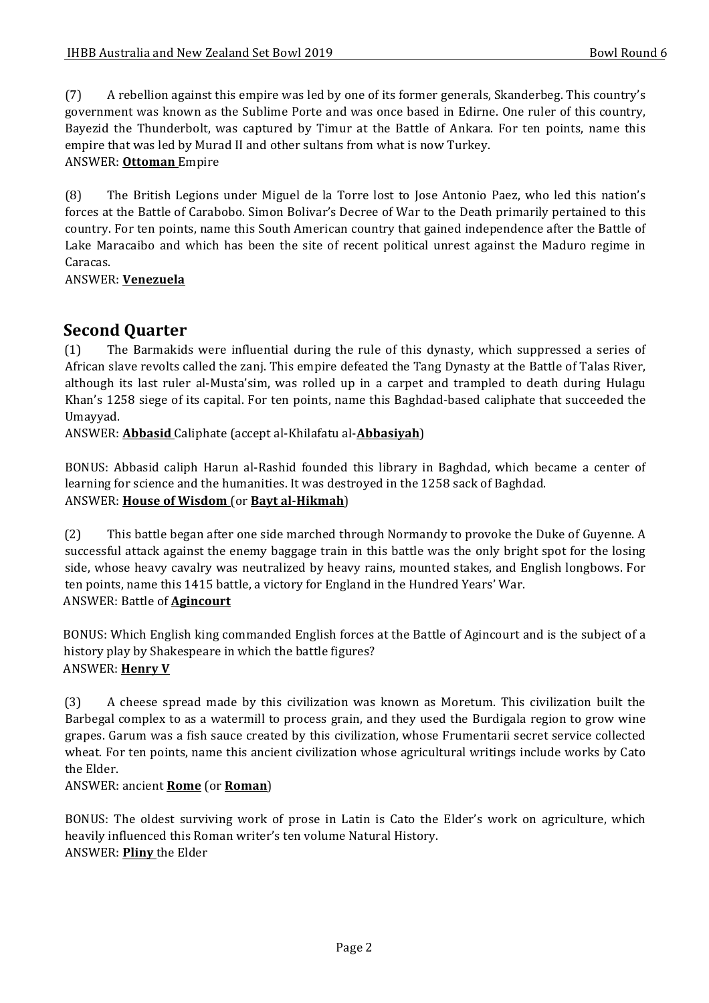(7) A rebellion against this empire was led by one of its former generals, Skanderbeg. This country's government was known as the Sublime Porte and was once based in Edirne. One ruler of this country, Bayezid the Thunderbolt, was captured by Timur at the Battle of Ankara. For ten points, name this empire that was led by Murad II and other sultans from what is now Turkey. ANSWER: **Ottoman** Empire

(8) The British Legions under Miguel de la Torre lost to Jose Antonio Paez, who led this nation's forces at the Battle of Carabobo. Simon Bolivar's Decree of War to the Death primarily pertained to this country. For ten points, name this South American country that gained independence after the Battle of Lake Maracaibo and which has been the site of recent political unrest against the Maduro regime in Caracas.

ANSWER: **Venezuela**

# **Second Quarter**

(1) The Barmakids were influential during the rule of this dynasty, which suppressed a series of African slave revolts called the zanj. This empire defeated the Tang Dynasty at the Battle of Talas River, although its last ruler al-Musta'sim, was rolled up in a carpet and trampled to death during Hulagu Khan's 1258 siege of its capital. For ten points, name this Baghdad-based caliphate that succeeded the Umayyad.

ANSWER: **Abbasid** Caliphate (accept al-Khilafatu al-**Abbasiyah**)

BONUS: Abbasid caliph Harun al-Rashid founded this library in Baghdad, which became a center of learning for science and the humanities. It was destroyed in the 1258 sack of Baghdad. ANSWER: **House of Wisdom** (or **Bayt al-Hikmah**)

(2) This battle began after one side marched through Normandy to provoke the Duke of Guyenne. A successful attack against the enemy baggage train in this battle was the only bright spot for the losing side, whose heavy cavalry was neutralized by heavy rains, mounted stakes, and English longbows. For ten points, name this 1415 battle, a victory for England in the Hundred Years' War. ANSWER: Battle of **Agincourt**

BONUS: Which English king commanded English forces at the Battle of Agincourt and is the subject of a history play by Shakespeare in which the battle figures? **ANSWER: Henry V** 

(3) A cheese spread made by this civilization was known as Moretum. This civilization built the Barbegal complex to as a watermill to process grain, and they used the Burdigala region to grow wine grapes. Garum was a fish sauce created by this civilization, whose Frumentarii secret service collected wheat. For ten points, name this ancient civilization whose agricultural writings include works by Cato the Elder.

#### ANSWER: ancient **Rome** (or **Roman**)

BONUS: The oldest surviving work of prose in Latin is Cato the Elder's work on agriculture, which heavily influenced this Roman writer's ten volume Natural History. ANSWER: **Pliny** the Elder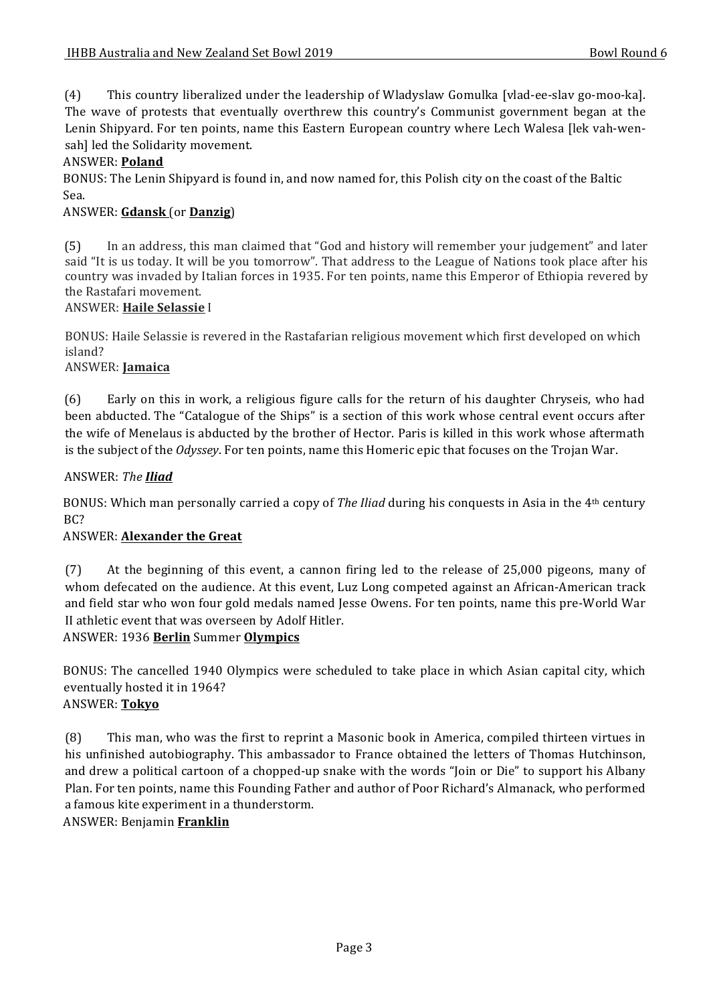(4) This country liberalized under the leadership of Wladyslaw Gomulka [vlad-ee-slav go-moo-ka]. The wave of protests that eventually overthrew this country's Communist government began at the Lenin Shipyard. For ten points, name this Eastern European country where Lech Walesa [lek vah-wensah] led the Solidarity movement.

#### ANSWER: **Poland**

BONUS: The Lenin Shipyard is found in, and now named for, this Polish city on the coast of the Baltic Sea.

#### ANSWER: **Gdansk** (or **Danzig**)

(5) In an address, this man claimed that "God and history will remember your judgement" and later said "It is us today. It will be you tomorrow". That address to the League of Nations took place after his country was invaded by Italian forces in 1935. For ten points, name this Emperor of Ethiopia revered by the Rastafari movement.

#### ANSWER: **Haile Selassie** I

BONUS: Haile Selassie is revered in the Rastafarian religious movement which first developed on which island?

#### ANSWER: **Jamaica**

(6) Early on this in work, a religious figure calls for the return of his daughter Chryseis, who had been abducted. The "Catalogue of the Ships" is a section of this work whose central event occurs after the wife of Menelaus is abducted by the brother of Hector. Paris is killed in this work whose aftermath is the subject of the *Odyssey*. For ten points, name this Homeric epic that focuses on the Trojan War.

#### ANSWER: *The Iliad*

BONUS: Which man personally carried a copy of *The Iliad* during his conquests in Asia in the 4<sup>th</sup> century BC?

#### **ANSWER: Alexander the Great**

(7) At the beginning of this event, a cannon firing led to the release of 25,000 pigeons, many of whom defecated on the audience. At this event, Luz Long competed against an African-American track and field star who won four gold medals named Jesse Owens. For ten points, name this pre-World War II athletic event that was overseen by Adolf Hitler.

#### ANSWER: 1936 **Berlin** Summer **Olympics**

BONUS: The cancelled 1940 Olympics were scheduled to take place in which Asian capital city, which eventually hosted it in 1964? ANSWER: **Tokyo**

(8) This man, who was the first to reprint a Masonic book in America, compiled thirteen virtues in his unfinished autobiography. This ambassador to France obtained the letters of Thomas Hutchinson, and drew a political cartoon of a chopped-up snake with the words "Join or Die" to support his Albany Plan. For ten points, name this Founding Father and author of Poor Richard's Almanack, who performed a famous kite experiment in a thunderstorm.

ANSWER: Benjamin **Franklin**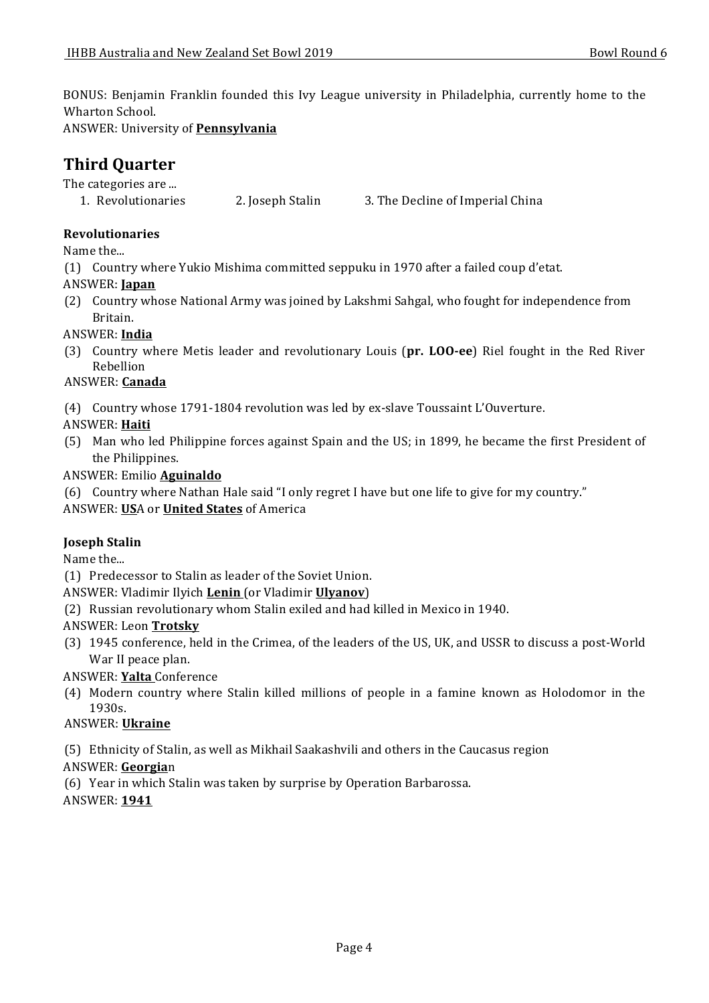BONUS: Benjamin Franklin founded this Ivy League university in Philadelphia, currently home to the Wharton School.

ANSWER: University of **Pennsylvania**

# **Third Ouarter**

The categories are ...

1. Revolutionaries 2. Joseph Stalin 3. The Decline of Imperial China

# **Revolutionaries**

Name the...

(1) Country where Yukio Mishima committed seppuku in 1970 after a failed coup d'etat.

# ANSWER: **Japan**

(2) Country whose National Army was joined by Lakshmi Sahgal, who fought for independence from Britain.

# ANSWER: **India**

(3) Country where Metis leader and revolutionary Louis (**pr. LOO-ee**) Riel fought in the Red River Rebellion

# ANSWER: **Canada**

(4) Country whose 1791-1804 revolution was led by ex-slave Toussaint L'Ouverture.

ANSWER: **Haiti**

- (5) Man who led Philippine forces against Spain and the US; in 1899, he became the first President of the Philippines.
- ANSWER: Emilio **Aguinaldo**
- (6) Country where Nathan Hale said "I only regret I have but one life to give for my country."

ANSWER: USA or **United States** of America

# **Joseph Stalin**

Name the...

(1) Predecessor to Stalin as leader of the Soviet Union.

ANSWER: Vladimir Ilyich **Lenin** (or Vladimir *Ulyanov*)

- (2) Russian revolutionary whom Stalin exiled and had killed in Mexico in 1940.
- ANSWER: Leon **Trotsky**
- (3) 1945 conference, held in the Crimea, of the leaders of the US, UK, and USSR to discuss a post-World War II peace plan.

ANSWER: **Yalta** Conference

(4) Modern country where Stalin killed millions of people in a famine known as Holodomor in the 1930s. 

# ANSWER: **Ukraine**

(5) Ethnicity of Stalin, as well as Mikhail Saakashvili and others in the Caucasus region

# ANSWER: **Georgia**n

- (6) Year in which Stalin was taken by surprise by Operation Barbarossa.
- ANSWER: **1941**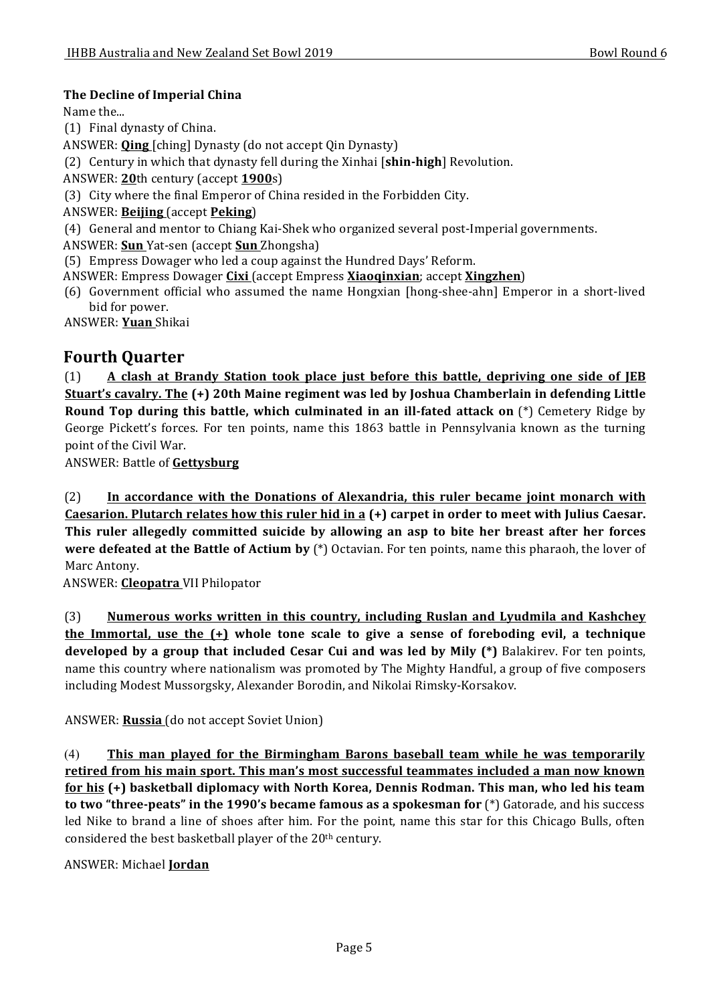### **The Decline of Imperial China**

Name the...

- (1) Final dynasty of China.
- ANSWER: **Qing** [ching] Dynasty (do not accept Qin Dynasty)

(2) Century in which that dynasty fell during the Xinhai [**shin-high**] Revolution.

ANSWER: 20th century (accept 1900s)

- (3) City where the final Emperor of China resided in the Forbidden City.
- ANSWER: **Beijing** (accept **Peking**)
- (4) General and mentor to Chiang Kai-Shek who organized several post-Imperial governments.
- ANSWER: **Sun** Yat-sen (accept **Sun** Zhongsha)
- (5) Empress Dowager who led a coup against the Hundred Days' Reform.
- ANSWER: Empress Dowager **Cixi** (accept Empress **Xiaoqinxian**; accept **Xingzhen**)
- (6) Government official who assumed the name Hongxian [hong-shee-ahn] Emperor in a short-lived bid for power.

ANSWER: **Yuan** Shikai

# **Fourth Quarter**

(1) **A clash at Brandy Station took place just before this battle, depriving one side of JEB Stuart's cavalry. The (+) 20th Maine regiment was led by Joshua Chamberlain in defending Little Round Top during this battle, which culminated in an ill-fated attack on** (\*) Cemetery Ridge by George Pickett's forces. For ten points, name this 1863 battle in Pennsylvania known as the turning point of the Civil War.

ANSWER: Battle of **Gettysburg** 

(2) **In accordance with the Donations of Alexandria, this ruler became joint monarch with Caesarion. Plutarch relates how this ruler hid in a (+) carpet in order to meet with Julius Caesar. This ruler allegedly committed suicide by allowing an asp to bite her breast after her forces were defeated at the Battle of Actium by** (\*) Octavian. For ten points, name this pharaoh, the lover of Marc Antony.

ANSWER: **Cleopatra** VII Philopator

(3) Numerous works written in this country, including Ruslan and Lyudmila and Kashchey the Immortal, use the  $(+)$  whole tone scale to give a sense of foreboding evil, a technique **developed** by a group that included Cesar Cui and was led by Mily (\*) Balakirev. For ten points, name this country where nationalism was promoted by The Mighty Handful, a group of five composers including Modest Mussorgsky, Alexander Borodin, and Nikolai Rimsky-Korsakov.

ANSWER: **Russia** (do not accept Soviet Union)

(4) **This man played for the Birmingham Barons baseball team while he was temporarily** retired from his main sport. This man's most successful teammates included a man now known **for his** (+) basketball diplomacy with North Korea, Dennis Rodman. This man, who led his team **to two "three-peats" in the 1990's became famous as a spokesman for** (\*) Gatorade, and his success led Nike to brand a line of shoes after him. For the point, name this star for this Chicago Bulls, often considered the best basketball player of the  $20<sup>th</sup>$  century.

#### ANSWER: Michael **Jordan**